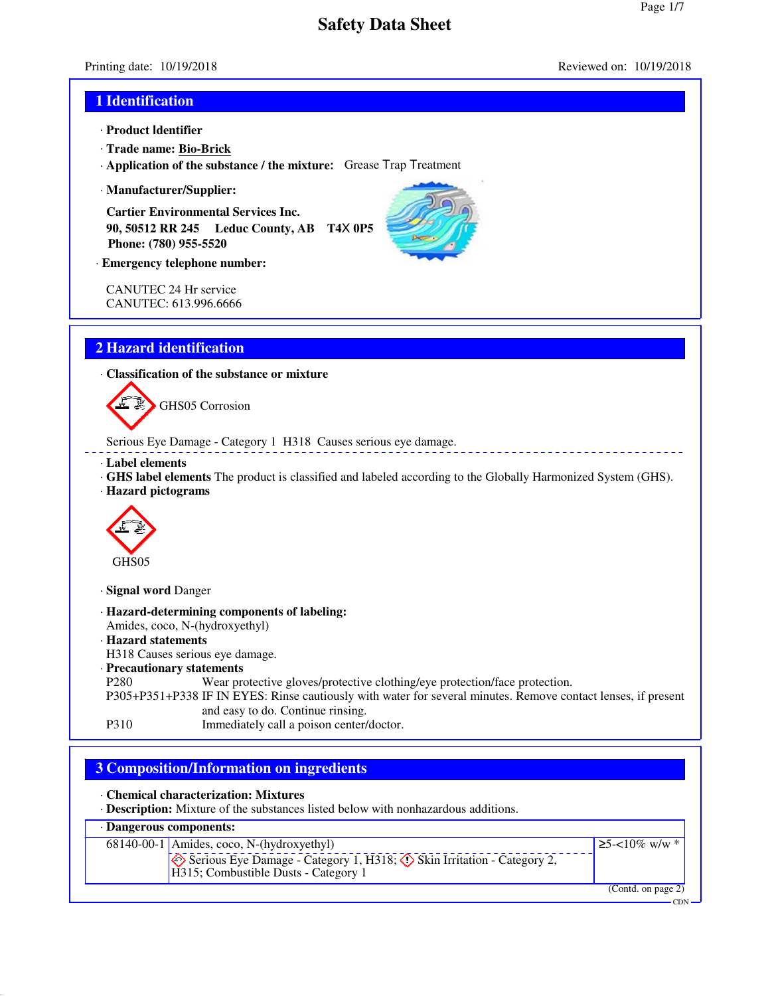Page 1/7

# Printing date: 10/19/2018 Reviewed on: 10/19/2018 **1 Identification** · **Product Identifier** · **Trade name: Bio-Brick** · **Application of the substance / the mixture:** Grease Trap Treatment · **Manufacturer/Supplier: Cartier Environmental Services Inc. 90, 50512 RR 245 Leduc County, AB T4**X **0P5 Phone: (780) 955-5520** · **Emergency telephone number:** CANUTEC 24 Hr service CANUTEC: 613.996.6666 **2 Hazard identification** · **Classification of the substance or mixture** GHS05 Corrosion Serious Eye Damage - Category 1 H318 Causes serious eye damage. · **Label elements** · **GHS label elements** The product is classified and labeled according to the Globally Harmonized System (GHS). · **Hazard pictograms** GH<sub>S05</sub> · **Signal word** Danger · **Hazard-determining components of labeling:** Amides, coco, N-(hydroxyethyl) · **Hazard statements** H318 Causes serious eye damage. · **Precautionary statements** P280 Wear protective gloves/protective clothing/eye protection/face protection. P305+P351+P338 IF IN EYES: Rinse cautiously with water for several minutes. Remove contact lenses, if present and easy to do. Continue rinsing. P310 Immediately call a poison center/doctor. **3 Composition/Information on ingredients** · **Chemical characterization: Mixtures** · **Description:** Mixture of the substances listed below with nonhazardous additions. · **Dangerous components:** ≥5-< $10\%$  w/w  $*$





**CDN**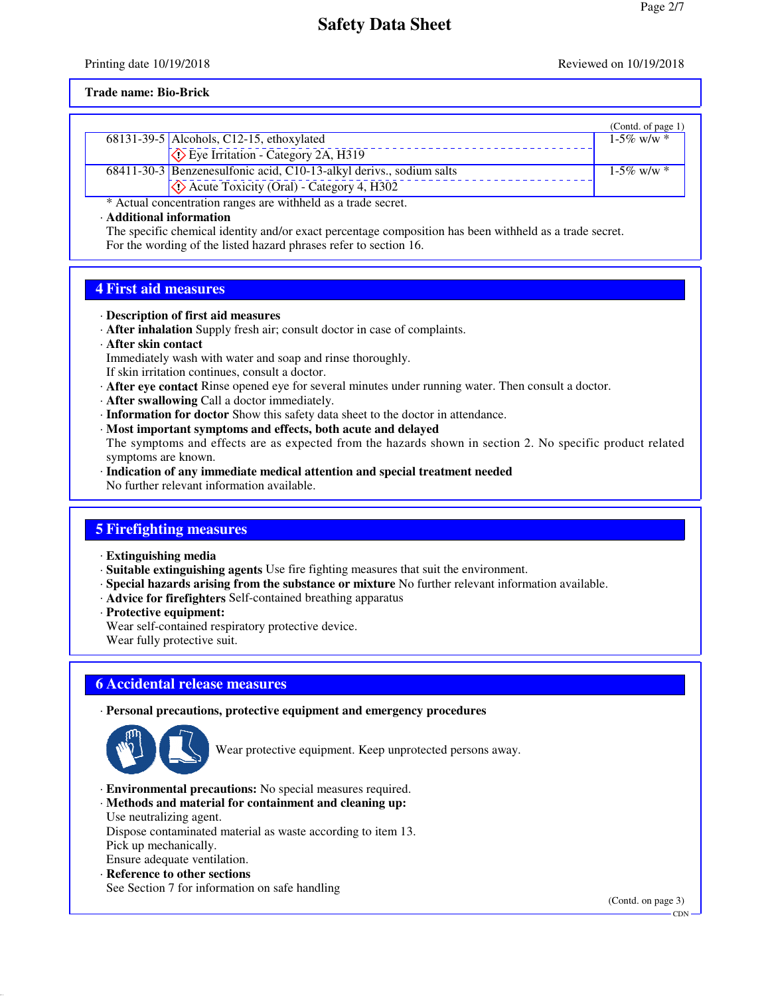Printing date 10/19/2018 **Reviewed on 10/19/2018** Reviewed on 10/19/2018

#### **Trade name: Bio-Brick**

|                                                               |                                                                     | (Contd. of page 1) |  |
|---------------------------------------------------------------|---------------------------------------------------------------------|--------------------|--|
|                                                               | $\overline{68131}$ -39-5   Alcohols, C12-15, ethoxylated            | $1-5\%$ w/w $*$    |  |
|                                                               | $\Diamond$ Eye Irritation - Category 2A, H319                       |                    |  |
|                                                               | 68411-30-3 Benzenesulfonic acid, C10-13-alkyl derivs., sodium salts | $1-5\%$ w/w $*$    |  |
|                                                               | $\Diamond$ Acute Toxicity (Oral) - Category 4, H302                 |                    |  |
| * Actual concentration ranges are withheld as a trade secret. |                                                                     |                    |  |

· **Additional information**

The specific chemical identity and/or exact percentage composition has been withheld as a trade secret. For the wording of the listed hazard phrases refer to section 16.

### **4 First aid measures**

#### · **Description of first aid measures**

- · **After inhalation** Supply fresh air; consult doctor in case of complaints.
- · **After skin contact**

Immediately wash with water and soap and rinse thoroughly.

- If skin irritation continues, consult a doctor.
- · **After eye contact** Rinse opened eye for several minutes under running water. Then consult a doctor.
- · **After swallowing** Call a doctor immediately.
- · **Information for doctor** Show this safety data sheet to the doctor in attendance.
- · **Most important symptoms and effects, both acute and delayed**

The symptoms and effects are as expected from the hazards shown in section 2. No specific product related symptoms are known.

· **Indication of any immediate medical attention and special treatment needed** No further relevant information available.

### **5 Firefighting measures**

- · **Extinguishing media**
- · **Suitable extinguishing agents** Use fire fighting measures that suit the environment.
- · **Special hazards arising from the substance or mixture** No further relevant information available.
- · **Advice for firefighters** Self-contained breathing apparatus
- · **Protective equipment:**

Wear self-contained respiratory protective device.

Wear fully protective suit.

### **6 Accidental release measures**

#### · **Personal precautions, protective equipment and emergency procedures**



Wear protective equipment. Keep unprotected persons away.

- · **Environmental precautions:** No special measures required.
- · **Methods and material for containment and cleaning up:** Use neutralizing agent.
- Dispose contaminated material as waste according to item 13.
- Pick up mechanically.
- Ensure adequate ventilation.
- · **Reference to other sections**
- See Section 7 for information on safe handling

(Contd. on page 3)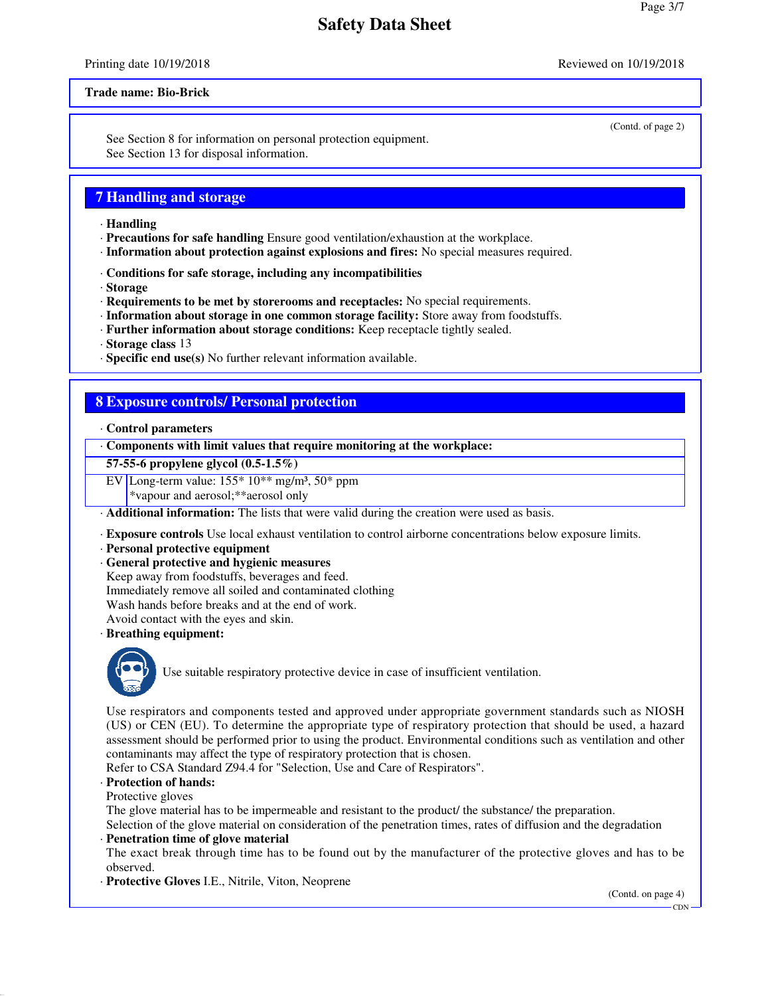#### Printing date 10/19/2018 **Reviewed on 10/19/2018** Reviewed on 10/19/2018

#### **Trade name: Bio-Brick**

See Section 8 for information on personal protection equipment. See Section 13 for disposal information.

### **7 Handling and storage**

- · **Handling**
- · **Precautions for safe handling** Ensure good ventilation/exhaustion at the workplace.
- · **Information about protection against explosions and fires:** No special measures required.
- · **Conditions for safe storage, including any incompatibilities**
- · **Storage**
- · **Requirements to be met by storerooms and receptacles:** No special requirements.
- · **Information about storage in one common storage facility:** Store away from foodstuffs.
- · **Further information about storage conditions:** Keep receptacle tightly sealed.

· **Storage class** 13

· **Specific end use(s)** No further relevant information available.

#### **8 Exposure controls/ Personal protection**

#### · **Control parameters**

· **Components with limit values that require monitoring at the workplace:**

#### **57-55-6 propylene glycol (0.5-1.5%)**

EV Long-term value:  $155*10**$  mg/m<sup>3</sup>,  $50*$  ppm

\*vapour and aerosol;\*\*aerosol only

- · **Additional information:** The lists that were valid during the creation were used as basis.
- · **Exposure controls** Use local exhaust ventilation to control airborne concentrations below exposure limits.
- · **Personal protective equipment**
- · **General protective and hygienic measures**
- Keep away from foodstuffs, beverages and feed. Immediately remove all soiled and contaminated clothing
- Wash hands before breaks and at the end of work.
- 

Avoid contact with the eyes and skin.

· **Breathing equipment:**



Use suitable respiratory protective device in case of insufficient ventilation.

Use respirators and components tested and approved under appropriate government standards such as NIOSH (US) or CEN (EU). To determine the appropriate type of respiratory protection that should be used, a hazard assessment should be performed prior to using the product. Environmental conditions such as ventilation and other contaminants may affect the type of respiratory protection that is chosen.

Refer to CSA Standard Z94.4 for "Selection, Use and Care of Respirators".

#### · **Protection of hands:**

Protective gloves

The glove material has to be impermeable and resistant to the product/ the substance/ the preparation.

Selection of the glove material on consideration of the penetration times, rates of diffusion and the degradation · **Penetration time of glove material**

The exact break through time has to be found out by the manufacturer of the protective gloves and has to be observed.

· **Protective Gloves** I.E., Nitrile, Viton, Neoprene

(Contd. on page 4)

CDN

(Contd. of page 2)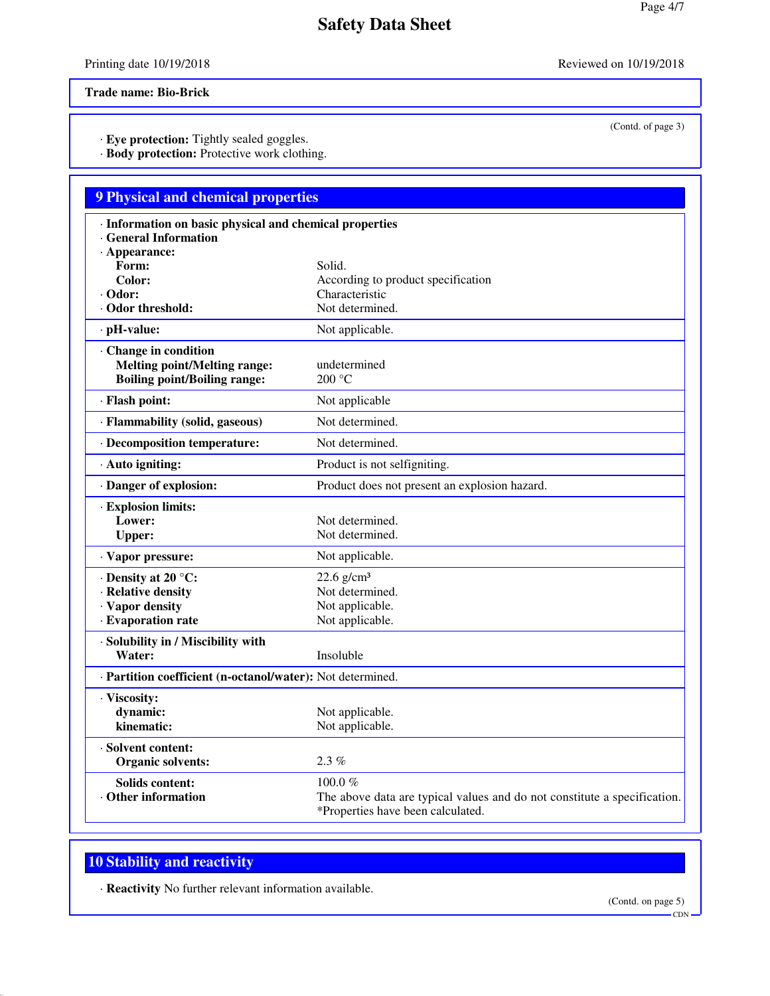Printing date 10/19/2018 Reviewed on 10/19/2018

**Trade name: Bio-Brick**

· **Eye protection:** Tightly sealed goggles.

· **Body protection:** Protective work clothing.

## **9 Physical and chemical properties**

| Information on basic physical and chemical properties<br><b>General Information</b><br>· Appearance: |                                                                                                               |  |  |  |
|------------------------------------------------------------------------------------------------------|---------------------------------------------------------------------------------------------------------------|--|--|--|
| Form:                                                                                                | Solid.                                                                                                        |  |  |  |
| Color:                                                                                               | According to product specification<br>Characteristic                                                          |  |  |  |
| · Odor:<br>Odor threshold:                                                                           | Not determined.                                                                                               |  |  |  |
| · pH-value:                                                                                          | Not applicable.                                                                                               |  |  |  |
|                                                                                                      |                                                                                                               |  |  |  |
| Change in condition<br><b>Melting point/Melting range:</b><br><b>Boiling point/Boiling range:</b>    | undetermined<br>200 °C                                                                                        |  |  |  |
| · Flash point:                                                                                       | Not applicable                                                                                                |  |  |  |
| · Flammability (solid, gaseous)                                                                      | Not determined.                                                                                               |  |  |  |
| · Decomposition temperature:                                                                         | Not determined.                                                                                               |  |  |  |
| · Auto igniting:                                                                                     | Product is not selfigniting.                                                                                  |  |  |  |
| · Danger of explosion:                                                                               | Product does not present an explosion hazard.                                                                 |  |  |  |
| · Explosion limits:                                                                                  |                                                                                                               |  |  |  |
| Lower:                                                                                               | Not determined.                                                                                               |  |  |  |
| <b>Upper:</b>                                                                                        | Not determined.                                                                                               |  |  |  |
| · Vapor pressure:                                                                                    | Not applicable.                                                                                               |  |  |  |
| $\cdot$ Density at 20 °C:                                                                            | $22.6$ g/cm <sup>3</sup>                                                                                      |  |  |  |
| · Relative density                                                                                   | Not determined.                                                                                               |  |  |  |
| · Vapor density                                                                                      | Not applicable.                                                                                               |  |  |  |
| · Evaporation rate                                                                                   | Not applicable.                                                                                               |  |  |  |
| · Solubility in / Miscibility with                                                                   |                                                                                                               |  |  |  |
| Water:                                                                                               | Insoluble                                                                                                     |  |  |  |
| · Partition coefficient (n-octanol/water): Not determined.                                           |                                                                                                               |  |  |  |
| · Viscosity:                                                                                         |                                                                                                               |  |  |  |
| dynamic:                                                                                             | Not applicable.                                                                                               |  |  |  |
| kinematic:                                                                                           | Not applicable.                                                                                               |  |  |  |
| · Solvent content:                                                                                   |                                                                                                               |  |  |  |
| <b>Organic solvents:</b>                                                                             | 2.3%                                                                                                          |  |  |  |
| <b>Solids content:</b>                                                                               | 100.0 $%$                                                                                                     |  |  |  |
| <b>Other information</b>                                                                             | The above data are typical values and do not constitute a specification.<br>*Properties have been calculated. |  |  |  |

### **10 Stability and reactivity**

· **Reactivity** No further relevant information available.

(Contd. on page 5)

(Contd. of page 3)

CDN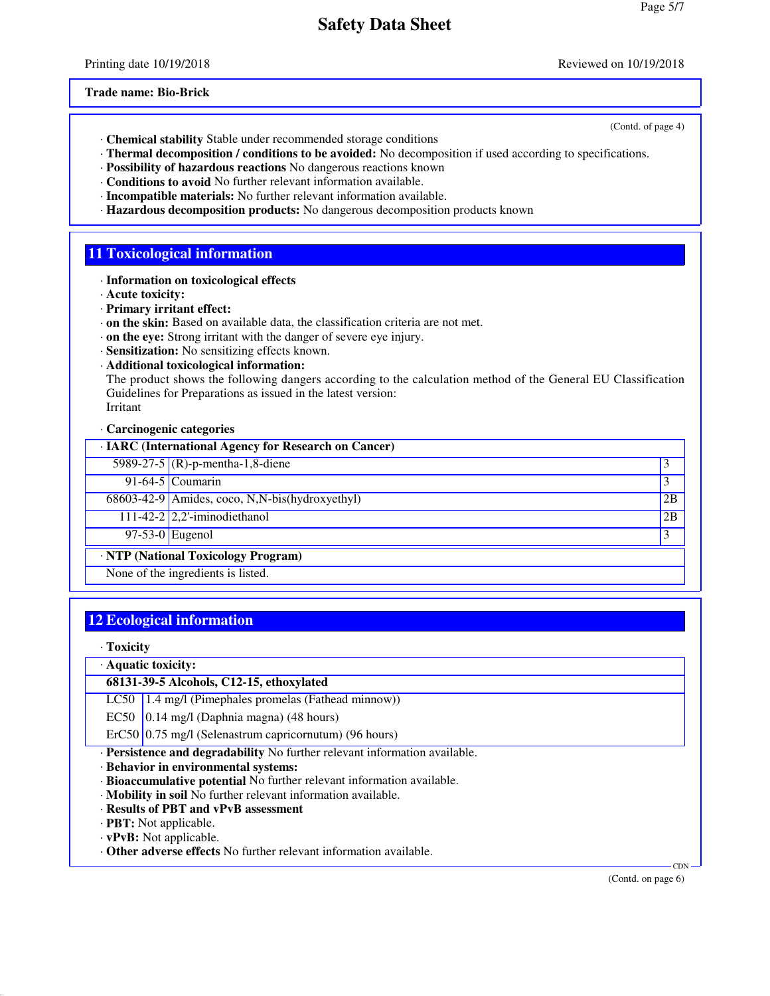Printing date 10/19/2018 **Reviewed on 10/19/2018** Reviewed on 10/19/2018

(Contd. of page 4)

**Trade name: Bio-Brick**

- · **Chemical stability** Stable under recommended storage conditions
- · **Thermal decomposition / conditions to be avoided:** No decomposition if used according to specifications.
- · **Possibility of hazardous reactions** No dangerous reactions known
- · **Conditions to avoid** No further relevant information available.
- · **Incompatible materials:** No further relevant information available.
- · **Hazardous decomposition products:** No dangerous decomposition products known

#### **11 Toxicological information**

- · **Information on toxicological effects**
- · **Acute toxicity:**
- · **Primary irritant effect:**
- · **on the skin:** Based on available data, the classification criteria are not met.
- · **on the eye:** Strong irritant with the danger of severe eye injury.
- · **Sensitization:** No sensitizing effects known.
- · **Additional toxicological information:**

The product shows the following dangers according to the calculation method of the General EU Classification Guidelines for Preparations as issued in the latest version: Irritant

· **Carcinogenic categories**

| · IARC (International Agency for Research on Cancer) |                                                |    |
|------------------------------------------------------|------------------------------------------------|----|
|                                                      | 5989-27-5 (R)-p-mentha-1,8-diene               | 3  |
|                                                      | 91-64-5 Coumarin                               | 3  |
|                                                      | 68603-42-9 Amides, coco, N,N-bis(hydroxyethyl) | 2B |
|                                                      | 111-42-2 $2,2$ -iminodiethanol                 | 2B |
|                                                      | 97-53-0 Eugenol                                |    |
| · NTP (National Toxicology Program)                  |                                                |    |
| None of the ingredients is listed.                   |                                                |    |

### **12 Ecological information**

· **Toxicity**

· **Aquatic toxicity:**

**68131-39-5 Alcohols, C12-15, ethoxylated**

LC50 1.4 mg/l (Pimephales promelas (Fathead minnow))

EC50  $(0.14 \text{ mg/l}$  (Daphnia magna) (48 hours)

 $ErC50$  0.75 mg/l (Selenastrum capricornutum) (96 hours)

· **Persistence and degradability** No further relevant information available.

· **Behavior in environmental systems:**

- · **Bioaccumulative potential** No further relevant information available.
- · **Mobility in soil** No further relevant information available.
- · **Results of PBT and vPvB assessment**
- · **PBT:** Not applicable.

· **vPvB:** Not applicable.

· **Other adverse effects** No further relevant information available.

(Contd. on page 6)

CDN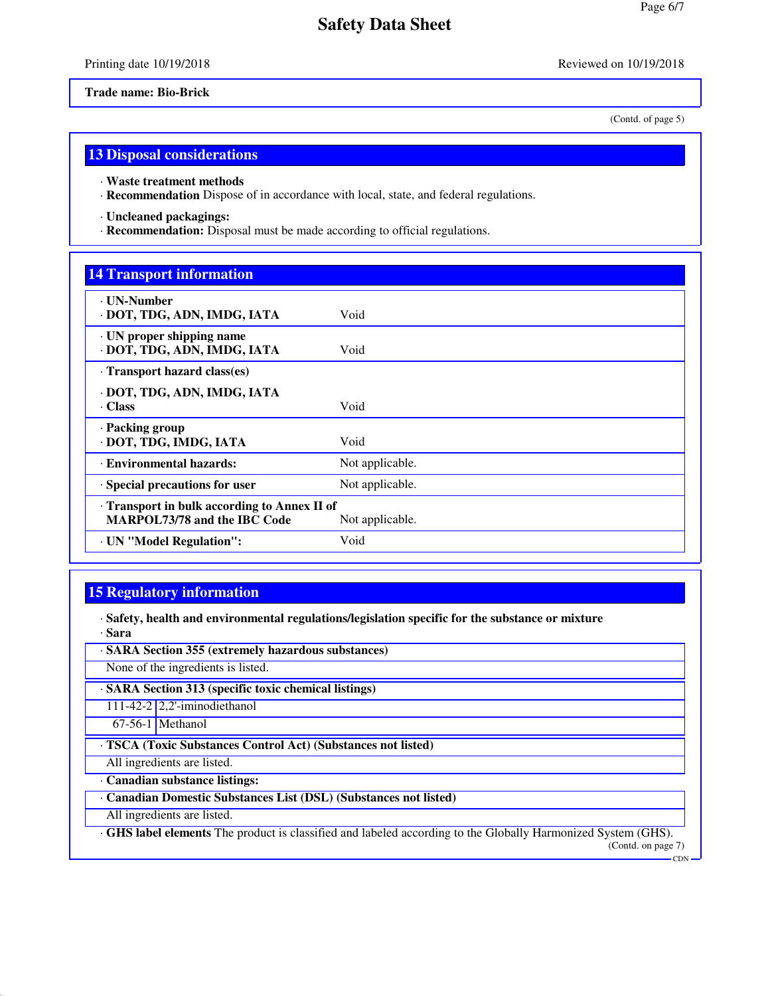#### Printing date 10/19/2018 Reviewed on 10/19/2018

**Trade name: Bio-Brick**

(Contd. of page 5)

#### **13 Disposal considerations**

· **Waste treatment methods**

· **Recommendation** Dispose of in accordance with local, state, and federal regulations.

· **Uncleaned packagings:**

· **Recommendation:** Disposal must be made according to official regulations.

### **14 Transport information**

| <b>· UN-Number</b><br>· DOT, TDG, ADN, IMDG, IATA                                                    | Void            |  |
|------------------------------------------------------------------------------------------------------|-----------------|--|
| · UN proper shipping name<br>· DOT, TDG, ADN, IMDG, IATA                                             | Void            |  |
| · Transport hazard class(es)                                                                         |                 |  |
| · DOT, TDG, ADN, IMDG, IATA<br>Class                                                                 | Void            |  |
| · Packing group<br>· DOT, TDG, IMDG, IATA                                                            | Void            |  |
| · Environmental hazards:                                                                             | Not applicable. |  |
| · Special precautions for user                                                                       | Not applicable. |  |
| Transport in bulk according to Annex II of<br><b>MARPOL73/78 and the IBC Code</b><br>Not applicable. |                 |  |
| · UN "Model Regulation":                                                                             | Void            |  |
|                                                                                                      |                 |  |

### **15 Regulatory information**

· **Safety, health and environmental regulations/legislation specific for the substance or mixture** · **Sara**

· **SARA Section 355 (extremely hazardous substances)** None of the ingredients is listed.

· **SARA Section 313 (specific toxic chemical listings)**

111-42-2 2,2'-iminodiethanol

67-56-1 Methanol

· **TSCA (Toxic Substances Control Act) (Substances not listed)**

All ingredients are listed.

· **Canadian substance listings:**

· **Canadian Domestic Substances List (DSL) (Substances not listed)**

All ingredients are listed.

· **GHS label elements** The product is classified and labeled according to the Globally Harmonized System (GHS). (Contd. on page 7)

 $-CDN$